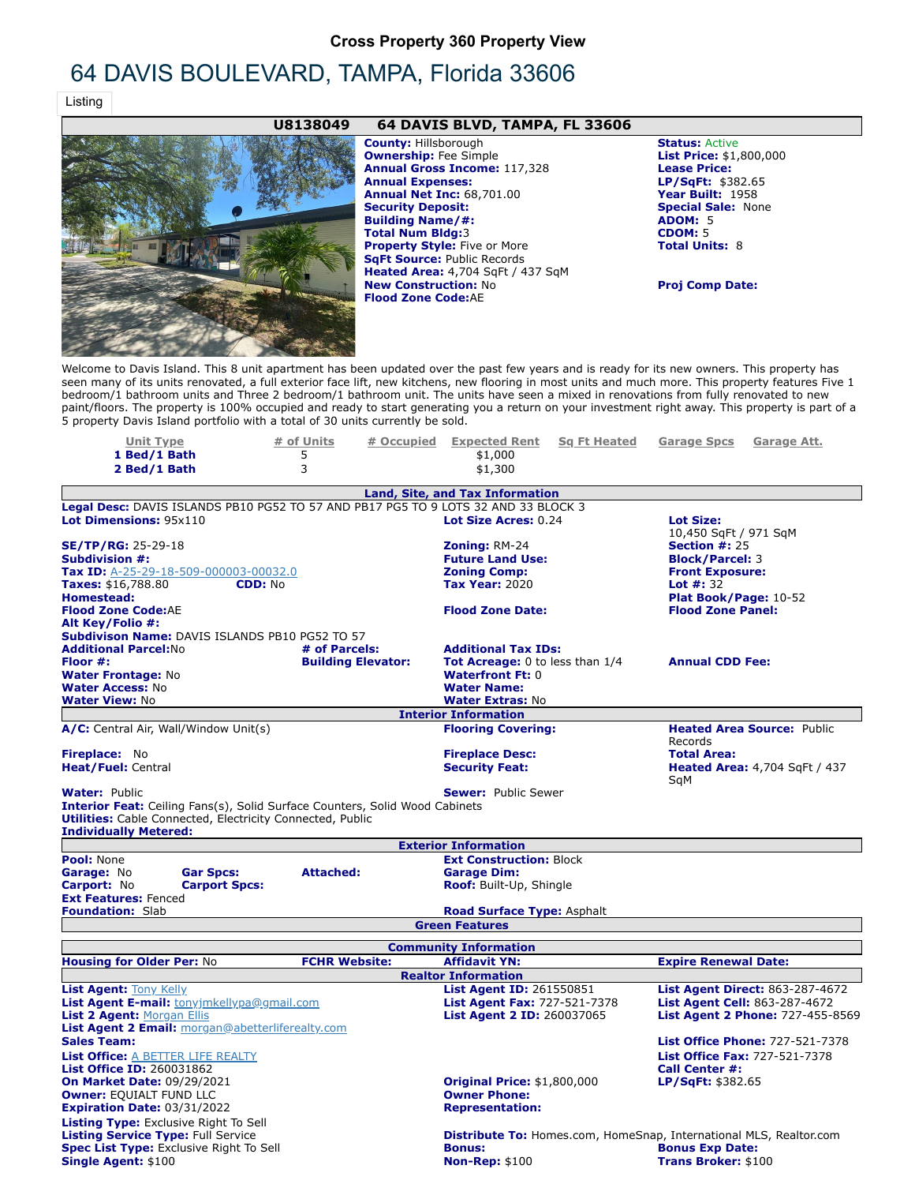## **Cross Property 360 Property View**

# 64 DAVIS BOULEVARD, TAMPA, Florida 33606

Listing

### **U8138049 64 DAVIS BLVD, TAMPA, FL 33606**



**Ownership:** Fee Simple **List Price:** \$1,800,000 **Annual Gross Income:** 117,328 **Lease Price: Annual Expenses: LP/SqFt:** \$382.65<br> **Annual Expenses: LP/SqFt:** \$382.65<br> **Annual Net Inc:** 68,701.00 **Year Built:** 1958 **Annual Net Inc: 68,701.00 Security Deposit: Special Sale:** None **Building Name/#: Total Num Bldg:3 CDOM:** 5<br> **Property Style:** Five or More **CDOM: Total Units:** 8 **Property Style: Five or More SqFt Source:** Public Records **Heated Area:** 4,704 SqFt / 437 SqM **New Construction: No <b>Proj Comp Date: Flood Zone Code:**AE

**County: Hillsborough <b>Status:** Active

Welcome to Davis Island. This 8 unit apartment has been updated over the past few years and is ready for its new owners. This property has seen many of its units renovated, a full exterior face lift, new kitchens, new flooring in most units and much more. This property features Five 1 bedroom/1 bathroom units and Three 2 bedroom/1 bathroom unit. The units have seen a mixed in renovations from fully renovated to new paint/floors. The property is 100% occupied and ready to start generating you a return on your investment right away. This property is part of a 5 property Davis Island portfolio with a total of 30 units currently be sold.

| <u>Unit Type</u>                                                 |                      | # of Units<br># Occupied                                                           | <b>Expected Rent</b><br><b>Sq Ft Heated</b>                                        | <b>Garage Spcs</b><br><u>Garage Att.</u> |
|------------------------------------------------------------------|----------------------|------------------------------------------------------------------------------------|------------------------------------------------------------------------------------|------------------------------------------|
| 1 Bed/1 Bath                                                     |                      | 5                                                                                  | \$1,000                                                                            |                                          |
| 2 Bed/1 Bath                                                     |                      | 3                                                                                  | \$1,300                                                                            |                                          |
|                                                                  |                      |                                                                                    | <b>Land, Site, and Tax Information</b>                                             |                                          |
|                                                                  |                      |                                                                                    | Legal Desc: DAVIS ISLANDS PB10 PG52 TO 57 AND PB17 PG5 TO 9 LOTS 32 AND 33 BLOCK 3 |                                          |
| Lot Dimensions: 95x110                                           |                      |                                                                                    | Lot Size Acres: 0.24                                                               | <b>Lot Size:</b>                         |
|                                                                  |                      |                                                                                    |                                                                                    | 10,450 SqFt / 971 SqM                    |
| $SE/TP/RG: 25-29-18$                                             |                      |                                                                                    | <b>Zoning: RM-24</b>                                                               | Section $#: 25$                          |
| <b>Subdivision #:</b>                                            |                      |                                                                                    | <b>Future Land Use:</b>                                                            | <b>Block/Parcel: 3</b>                   |
| Tax ID: A-25-29-18-509-000003-00032.0                            |                      |                                                                                    | <b>Zoning Comp:</b>                                                                | <b>Front Exposure:</b>                   |
| <b>Taxes:</b> \$16,788.80                                        | <b>CDD: No</b>       |                                                                                    | <b>Tax Year: 2020</b>                                                              | <b>Lot #: 32</b>                         |
| Homestead:                                                       |                      |                                                                                    |                                                                                    | Plat Book/Page: 10-52                    |
| <b>Flood Zone Code:AE</b>                                        |                      |                                                                                    | <b>Flood Zone Date:</b>                                                            | <b>Flood Zone Panel:</b>                 |
| Alt Key/Folio #:                                                 |                      |                                                                                    |                                                                                    |                                          |
| <b>Subdivison Name: DAVIS ISLANDS PB10 PG52 TO 57</b>            |                      |                                                                                    |                                                                                    |                                          |
| <b>Additional Parcel: No</b>                                     |                      | # of Parcels:                                                                      | <b>Additional Tax IDs:</b>                                                         |                                          |
| Floor #:                                                         |                      | <b>Building Elevator:</b>                                                          | <b>Tot Acreage:</b> 0 to less than 1/4                                             | <b>Annual CDD Fee:</b>                   |
| <b>Water Frontage: No</b>                                        |                      |                                                                                    | <b>Waterfront Ft: 0</b>                                                            |                                          |
| <b>Water Access: No</b>                                          |                      |                                                                                    | <b>Water Name:</b>                                                                 |                                          |
| <b>Water View: No</b>                                            |                      |                                                                                    | <b>Water Extras: No</b>                                                            |                                          |
|                                                                  |                      |                                                                                    | <b>Interior Information</b>                                                        |                                          |
| A/C: Central Air, Wall/Window Unit(s)                            |                      |                                                                                    | <b>Flooring Covering:</b>                                                          | <b>Heated Area Source: Public</b>        |
|                                                                  |                      |                                                                                    |                                                                                    | Records                                  |
| Fireplace: No                                                    |                      |                                                                                    | <b>Fireplace Desc:</b>                                                             | <b>Total Area:</b>                       |
| <b>Heat/Fuel: Central</b>                                        |                      |                                                                                    | <b>Security Feat:</b>                                                              | <b>Heated Area: 4,704 SqFt / 437</b>     |
|                                                                  |                      |                                                                                    |                                                                                    | SqM                                      |
| <b>Water: Public</b>                                             |                      |                                                                                    | <b>Sewer: Public Sewer</b>                                                         |                                          |
|                                                                  |                      | <b>Interior Feat:</b> Ceiling Fans(s), Solid Surface Counters, Solid Wood Cabinets |                                                                                    |                                          |
| <b>Utilities:</b> Cable Connected, Electricity Connected, Public |                      |                                                                                    |                                                                                    |                                          |
| <b>Individually Metered:</b>                                     |                      |                                                                                    |                                                                                    |                                          |
|                                                                  |                      |                                                                                    | <b>Exterior Information</b>                                                        |                                          |
| Pool: None                                                       |                      |                                                                                    | <b>Ext Construction: Block</b>                                                     |                                          |
| Garage: No                                                       | <b>Gar Spcs:</b>     | <b>Attached:</b>                                                                   | <b>Garage Dim:</b>                                                                 |                                          |
| <b>Carport: No</b>                                               | <b>Carport Spcs:</b> |                                                                                    | Roof: Built-Up, Shingle                                                            |                                          |
| <b>Ext Features: Fenced</b>                                      |                      |                                                                                    |                                                                                    |                                          |
| <b>Foundation: Slab</b>                                          |                      |                                                                                    | <b>Road Surface Type: Asphalt</b>                                                  |                                          |
|                                                                  |                      |                                                                                    | <b>Green Features</b>                                                              |                                          |
|                                                                  |                      |                                                                                    | <b>Community Information</b>                                                       |                                          |
| <b>Housing for Older Per: No</b>                                 |                      | <b>FCHR Website:</b>                                                               | <b>Affidavit YN:</b>                                                               | <b>Expire Renewal Date:</b>              |
|                                                                  |                      |                                                                                    | <b>Realtor Information</b>                                                         |                                          |
| <b>List Agent: Tony Kelly</b>                                    |                      |                                                                                    | <b>List Agent ID: 261550851</b>                                                    | <b>List Agent Direct: 863-287-4672</b>   |
| List Agent E-mail: tonyjmkellypa@gmail.com                       |                      |                                                                                    | <b>List Agent Fax: 727-521-7378</b>                                                | List Agent Cell: 863-287-4672            |
| <b>List 2 Agent: Morgan Ellis</b>                                |                      |                                                                                    | <b>List Agent 2 ID: 260037065</b>                                                  | <b>List Agent 2 Phone: 727-455-8569</b>  |
| <b>List Agent 2 Email:</b> morgan@abetterliferealty.com          |                      |                                                                                    |                                                                                    |                                          |
| <b>Sales Team:</b>                                               |                      |                                                                                    |                                                                                    | <b>List Office Phone: 727-521-7378</b>   |
| <b>List Office: A BETTER LIFE REALTY</b>                         |                      |                                                                                    |                                                                                    | <b>List Office Fax: 727-521-7378</b>     |
| <b>List Office ID: 260031862</b>                                 |                      |                                                                                    |                                                                                    | <b>Call Center #:</b>                    |
| <b>On Market Date: 09/29/2021</b>                                |                      |                                                                                    | <b>Original Price: \$1,800,000</b>                                                 | LP/SqFt: \$382.65                        |
| <b>Owner: EQUIALT FUND LLC</b>                                   |                      |                                                                                    | <b>Owner Phone:</b>                                                                |                                          |
| <b>Expiration Date: 03/31/2022</b>                               |                      |                                                                                    | <b>Representation:</b>                                                             |                                          |
|                                                                  |                      |                                                                                    |                                                                                    |                                          |
| <b>Listing Type:</b> Exclusive Right To Sell                     |                      |                                                                                    |                                                                                    |                                          |
| <b>Listing Service Type: Full Service</b>                        |                      |                                                                                    | <b>Distribute To:</b> Homes.com, HomeSnap, International MLS, Realtor.com          |                                          |
| <b>Spec List Type: Exclusive Right To Sell</b>                   |                      |                                                                                    | <b>Bonus:</b>                                                                      | <b>Bonus Exp Date:</b>                   |
| <b>Single Agent: \$100</b>                                       |                      |                                                                                    | <b>Non-Rep: \$100</b>                                                              | <b>Trans Broker: \$100</b>               |